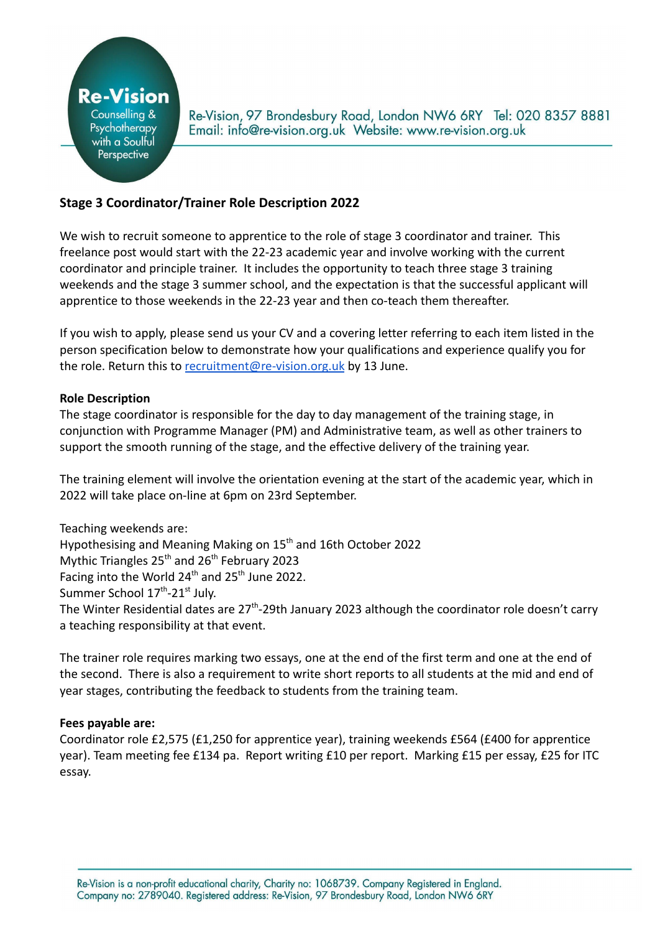

Re-Vision, 97 Brondesbury Road, London NW6 6RY Tel: 020 8357 8881 Email: info@re-vision.org.uk Website: www.re-vision.org.uk

# **Stage 3 Coordinator/Trainer Role Description 2022**

We wish to recruit someone to apprentice to the role of stage 3 coordinator and trainer. This freelance post would start with the 22-23 academic year and involve working with the current coordinator and principle trainer. It includes the opportunity to teach three stage 3 training weekends and the stage 3 summer school, and the expectation is that the successful applicant will apprentice to those weekends in the 22-23 year and then co-teach them thereafter.

If you wish to apply, please send us your CV and a covering letter referring to each item listed in the person specification below to demonstrate how your qualifications and experience qualify you for the role. Return this to [recruitment@re-vision.org.uk](mailto:recruitment@re-vision.org.uk) by 13 June.

#### **Role Description**

The stage coordinator is responsible for the day to day management of the training stage, in conjunction with Programme Manager (PM) and Administrative team, as well as other trainers to support the smooth running of the stage, and the effective delivery of the training year.

The training element will involve the orientation evening at the start of the academic year, which in 2022 will take place on-line at 6pm on 23rd September.

Teaching weekends are: Hypothesising and Meaning Making on 15<sup>th</sup> and 16th October 2022 Mythic Triangles  $25<sup>th</sup>$  and  $26<sup>th</sup>$  February 2023 Facing into the World  $24^{th}$  and  $25^{th}$  June 2022. Summer School 17<sup>th</sup>-21<sup>st</sup> July. The Winter Residential dates are 27<sup>th</sup>-29th January 2023 although the coordinator role doesn't carry a teaching responsibility at that event.

The trainer role requires marking two essays, one at the end of the first term and one at the end of the second. There is also a requirement to write short reports to all students at the mid and end of year stages, contributing the feedback to students from the training team.

#### **Fees payable are:**

Coordinator role £2,575 (£1,250 for apprentice year), training weekends £564 (£400 for apprentice year). Team meeting fee £134 pa. Report writing £10 per report. Marking £15 per essay, £25 for ITC essay.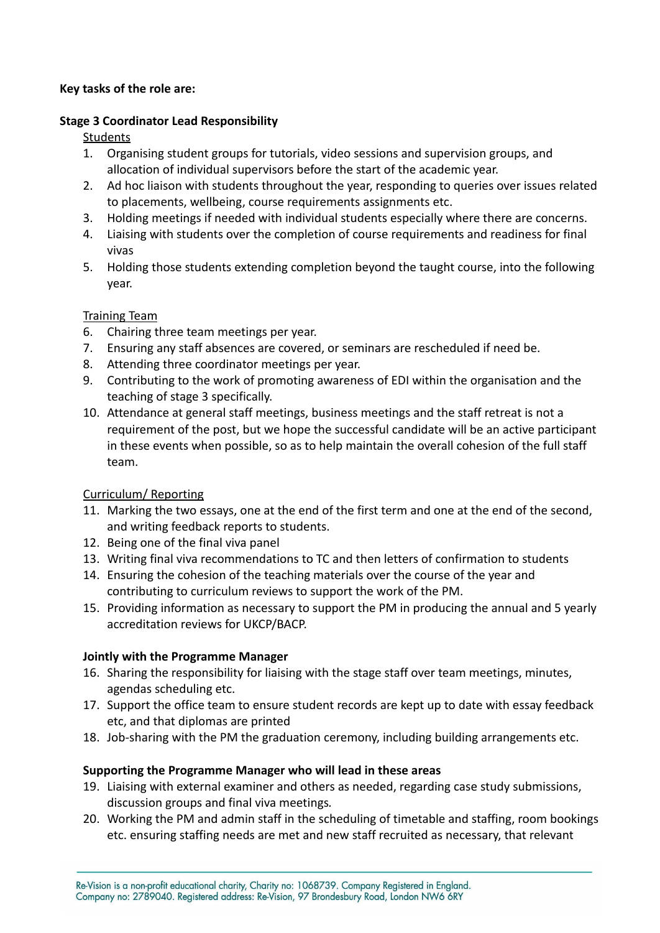#### **Key tasks of the role are:**

### **Stage 3 Coordinator Lead Responsibility**

### **Students**

- 1. Organising student groups for tutorials, video sessions and supervision groups, and allocation of individual supervisors before the start of the academic year.
- 2. Ad hoc liaison with students throughout the year, responding to queries over issues related to placements, wellbeing, course requirements assignments etc.
- 3. Holding meetings if needed with individual students especially where there are concerns.
- 4. Liaising with students over the completion of course requirements and readiness for final vivas
- 5. Holding those students extending completion beyond the taught course, into the following year.

### Training Team

- 6. Chairing three team meetings per year.
- 7. Ensuring any staff absences are covered, or seminars are rescheduled if need be.
- 8. Attending three coordinator meetings per year.
- 9. Contributing to the work of promoting awareness of EDI within the organisation and the teaching of stage 3 specifically.
- 10. Attendance at general staff meetings, business meetings and the staff retreat is not a requirement of the post, but we hope the successful candidate will be an active participant in these events when possible, so as to help maintain the overall cohesion of the full staff team.

#### Curriculum/ Reporting

- 11. Marking the two essays, one at the end of the first term and one at the end of the second, and writing feedback reports to students.
- 12. Being one of the final viva panel
- 13. Writing final viva recommendations to TC and then letters of confirmation to students
- 14. Ensuring the cohesion of the teaching materials over the course of the year and contributing to curriculum reviews to support the work of the PM.
- 15. Providing information as necessary to support the PM in producing the annual and 5 yearly accreditation reviews for UKCP/BACP.

# **Jointly with the Programme Manager**

- 16. Sharing the responsibility for liaising with the stage staff over team meetings, minutes, agendas scheduling etc.
- 17. Support the office team to ensure student records are kept up to date with essay feedback etc, and that diplomas are printed
- 18. Job-sharing with the PM the graduation ceremony, including building arrangements etc.

#### **Supporting the Programme Manager who will lead in these areas**

- 19. Liaising with external examiner and others as needed, regarding case study submissions, discussion groups and final viva meetings*.*
- 20. Working the PM and admin staff in the scheduling of timetable and staffing, room bookings etc. ensuring staffing needs are met and new staff recruited as necessary, that relevant